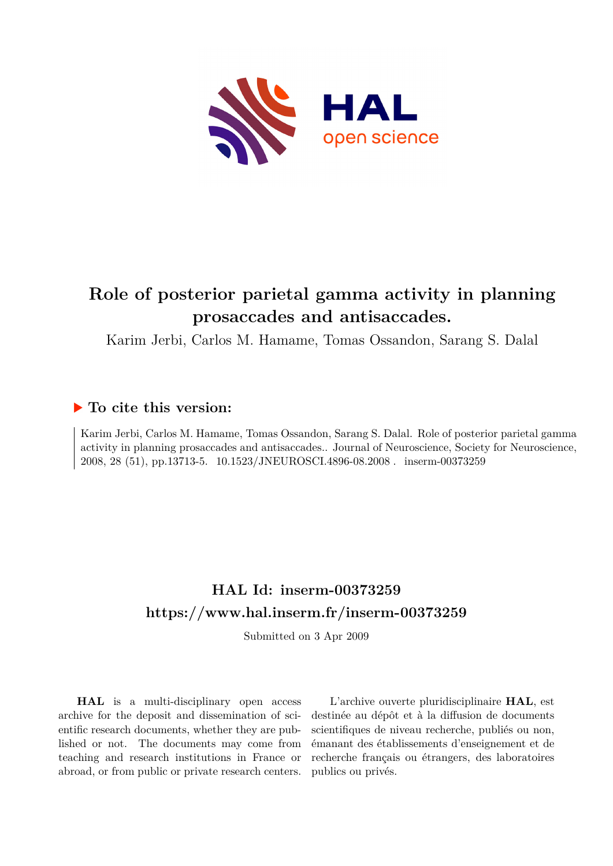

## **Role of posterior parietal gamma activity in planning prosaccades and antisaccades.**

Karim Jerbi, Carlos M. Hamame, Tomas Ossandon, Sarang S. Dalal

### **To cite this version:**

Karim Jerbi, Carlos M. Hamame, Tomas Ossandon, Sarang S. Dalal. Role of posterior parietal gamma activity in planning prosaccades and antisaccades.. Journal of Neuroscience, Society for Neuroscience, 2008, 28 (51), pp.13713-5. 10.1523/JNEUROSCI.4896-08.2008. inserm-00373259

### **HAL Id: inserm-00373259 <https://www.hal.inserm.fr/inserm-00373259>**

Submitted on 3 Apr 2009

**HAL** is a multi-disciplinary open access archive for the deposit and dissemination of scientific research documents, whether they are published or not. The documents may come from teaching and research institutions in France or abroad, or from public or private research centers.

L'archive ouverte pluridisciplinaire **HAL**, est destinée au dépôt et à la diffusion de documents scientifiques de niveau recherche, publiés ou non, émanant des établissements d'enseignement et de recherche français ou étrangers, des laboratoires publics ou privés.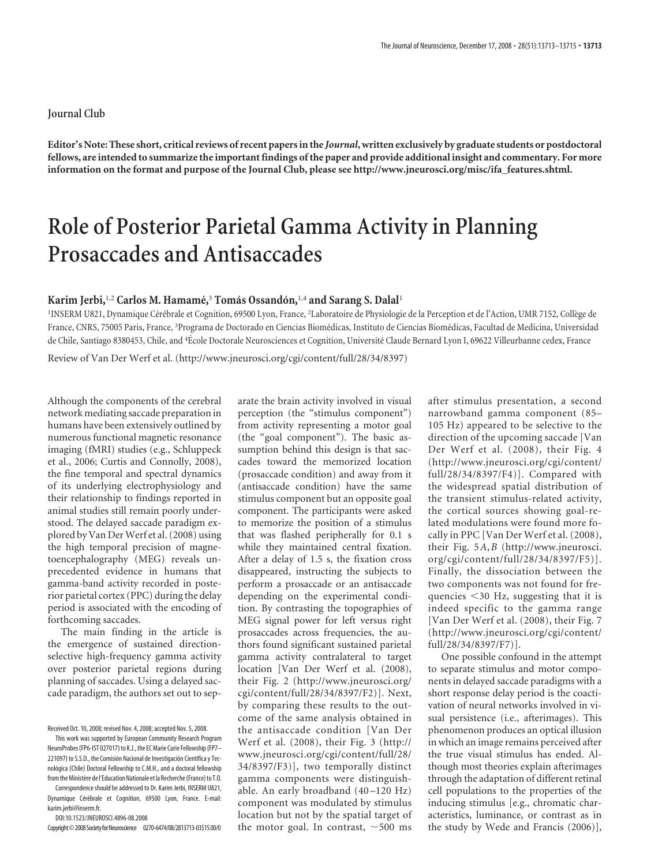#### **Journal Club**

**Editor's Note: These short, critical reviews of recent papers in the** *Journal***, written exclusively by graduate students or postdoctoral fellows, are intended to summarize the important findings of the paper and provide additional insight and commentary. For more information on the format and purpose of the Journal Club, please see http://www.jneurosci.org/misc/ifa\_features.shtml.**

# **Role of Posterior Parietal Gamma Activity in Planning Prosaccades and Antisaccades**

#### **Karim Jerbi,**1,2 **Carlos M. Hamame´,**<sup>3</sup> **Toma´s Ossando´n,**1,4 **and Sarang S. Dalal**<sup>1</sup>

'INSERM U821, Dynamique Cérébrale et Cognition, 69500 Lyon, France, <sup>2</sup>Laboratoire de Physiologie de la Perception et de l'Action, UMR 7152, Collège de France, CNRS, 75005 Paris, France, <sup>3</sup>Programa de Doctorado en Ciencias Biomédicas, Instituto de Ciencias Biomédicas, Facultad de Medicina, Universidad de Chile, Santiago 8380453, Chile, and <sup>4</sup>École Doctorale Neurosciences et Cognition, Université Claude Bernard Lyon I, 69622 Villeurbanne cedex, France

Review of Van Der Werf et al. (http://www.jneurosci.org/cgi/content/full/28/34/8397)

Although the components of the cerebral network mediating saccade preparation in humans have been extensively outlined by numerous functional magnetic resonance imaging (fMRI) studies (e.g., Schluppeck et al., 2006; Curtis and Connolly, 2008), the fine temporal and spectral dynamics of its underlying electrophysiology and their relationship to findings reported in animal studies still remain poorly understood. The delayed saccade paradigm explored by Van Der Werf et al. (2008) using the high temporal precision of magnetoencephalography (MEG) reveals unprecedented evidence in humans that gamma-band activity recorded in posterior parietal cortex (PPC) during the delay period is associated with the encoding of forthcoming saccades.

The main finding in the article is the emergence of sustained directionselective high-frequency gamma activity over posterior parietal regions during planning of saccades. Using a delayed saccade paradigm, the authors set out to sep-

DOI:10.1523/JNEUROSCI.4896-08.2008

Copyright©2008SocietyforNeuroscience 0270-6474/08/2813713-03\$15.00/0

arate the brain activity involved in visual perception (the "stimulus component") from activity representing a motor goal (the "goal component"). The basic assumption behind this design is that saccades toward the memorized location (prosaccade condition) and away from it (antisaccade condition) have the same stimulus component but an opposite goal component. The participants were asked to memorize the position of a stimulus that was flashed peripherally for 0.1 s while they maintained central fixation. After a delay of 1.5 s, the fixation cross disappeared, instructing the subjects to perform a prosaccade or an antisaccade depending on the experimental condition. By contrasting the topographies of MEG signal power for left versus right prosaccades across frequencies, the authors found significant sustained parietal gamma activity contralateral to target location [Van Der Werf et al. (2008), their Fig. 2 (http://www.jneurosci.org/ cgi/content/full/28/34/8397/F2)]. Next, by comparing these results to the outcome of the same analysis obtained in the antisaccade condition [Van Der Werf et al. (2008), their Fig. 3 (http:// www.jneurosci.org/cgi/content/full/28/ 34/8397/F3)], two temporally distinct gamma components were distinguishable. An early broadband (40 –120 Hz) component was modulated by stimulus location but not by the spatial target of the motor goal. In contrast,  $\sim$  500 ms

after stimulus presentation, a second narrowband gamma component (85– 105 Hz) appeared to be selective to the direction of the upcoming saccade [Van Der Werf et al. (2008), their Fig. 4 (http://www.jneurosci.org/cgi/content/ full/28/34/8397/F4)]. Compared with the widespread spatial distribution of the transient stimulus-related activity, the cortical sources showing goal-related modulations were found more focally in PPC [Van Der Werf et al. (2008), their Fig. 5*A*,*B* (http://www.jneurosci. org/cgi/content/full/28/34/8397/F5)]. Finally, the dissociation between the two components was not found for frequencies -30 Hz, suggesting that it is indeed specific to the gamma range [Van Der Werf et al. (2008), their Fig. 7 (http://www.jneurosci.org/cgi/content/ full/28/34/8397/F7)].

One possible confound in the attempt to separate stimulus and motor components in delayed saccade paradigms with a short response delay period is the coactivation of neural networks involved in visual persistence (i.e., afterimages). This phenomenon produces an optical illusion in which an image remains perceived after the true visual stimulus has ended. Although most theories explain afterimages through the adaptation of different retinal cell populations to the properties of the inducing stimulus [e.g., chromatic characteristics, luminance, or contrast as in the study by Wede and Francis (2006)],

Received Oct. 10, 2008; revised Nov. 4, 2008; accepted Nov. 5, 2008.

This work was supported by European Community Research Program NeuroProbes (FP6-IST 027017) to K.J., the EC Marie Curie Fellowship (FP7– 221097) to S.S.D., the Comisión Nacional de Investigación Científica y Tecnológica (Chile) Doctoral Fellowship to C.M.H., and a doctoral fellowship from the Ministère de l'Education Nationale et la Recherche (France) to T.O.

Correspondence should be addressed to Dr. Karim Jerbi, INSERM U821, Dynamique Cérébrale et Cognition, 69500 Lyon, France, E-mail: karim.jerbi@inserm.fr.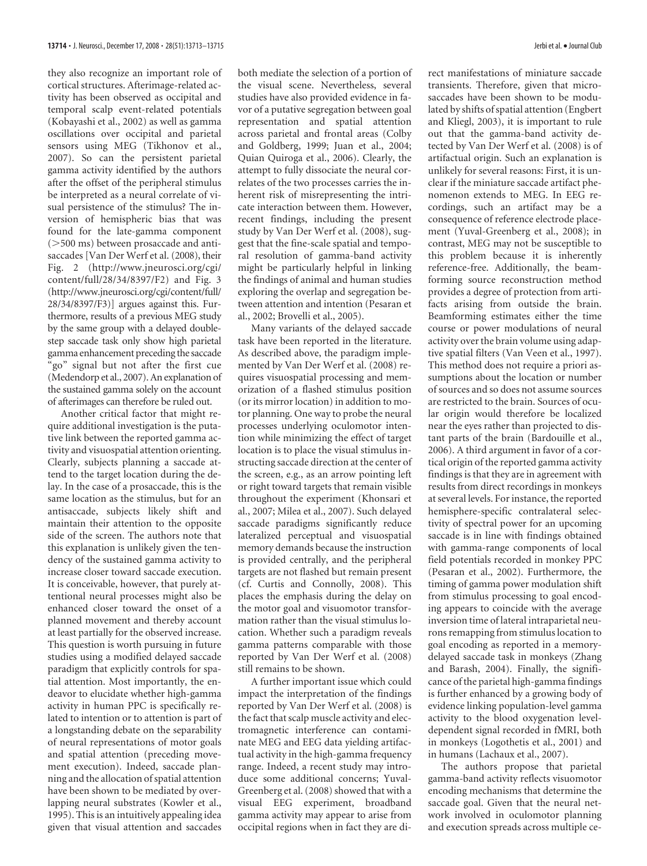they also recognize an important role of cortical structures. Afterimage-related activity has been observed as occipital and temporal scalp event-related potentials (Kobayashi et al., 2002) as well as gamma oscillations over occipital and parietal sensors using MEG (Tikhonov et al., 2007). So can the persistent parietal gamma activity identified by the authors after the offset of the peripheral stimulus be interpreted as a neural correlate of visual persistence of the stimulus? The inversion of hemispheric bias that was found for the late-gamma component ( $>500$  ms) between prosaccade and antisaccades [Van Der Werf et al. (2008), their Fig. 2 (http://www.jneurosci.org/cgi/ content/full/28/34/8397/F2) and Fig. 3 (http://www.jneurosci.org/cgi/content/full/ 28/34/8397/F3)] argues against this. Furthermore, results of a previous MEG study by the same group with a delayed doublestep saccade task only show high parietal gamma enhancement preceding the saccade "go" signal but not after the first cue (Medendorp et al., 2007). An explanation of the sustained gamma solely on the account of afterimages can therefore be ruled out.

Another critical factor that might require additional investigation is the putative link between the reported gamma activity and visuospatial attention orienting. Clearly, subjects planning a saccade attend to the target location during the delay. In the case of a prosaccade, this is the same location as the stimulus, but for an antisaccade, subjects likely shift and maintain their attention to the opposite side of the screen. The authors note that this explanation is unlikely given the tendency of the sustained gamma activity to increase closer toward saccade execution. It is conceivable, however, that purely attentional neural processes might also be enhanced closer toward the onset of a planned movement and thereby account at least partially for the observed increase. This question is worth pursuing in future studies using a modified delayed saccade paradigm that explicitly controls for spatial attention. Most importantly, the endeavor to elucidate whether high-gamma activity in human PPC is specifically related to intention or to attention is part of a longstanding debate on the separability of neural representations of motor goals and spatial attention (preceding movement execution). Indeed, saccade planning and the allocation of spatial attention have been shown to be mediated by overlapping neural substrates (Kowler et al., 1995). This is an intuitively appealing idea given that visual attention and saccades

both mediate the selection of a portion of the visual scene. Nevertheless, several studies have also provided evidence in favor of a putative segregation between goal representation and spatial attention across parietal and frontal areas (Colby and Goldberg, 1999; Juan et al., 2004; Quian Quiroga et al., 2006). Clearly, the attempt to fully dissociate the neural correlates of the two processes carries the inherent risk of misrepresenting the intricate interaction between them. However, recent findings, including the present study by Van Der Werf et al. (2008), suggest that the fine-scale spatial and temporal resolution of gamma-band activity might be particularly helpful in linking the findings of animal and human studies exploring the overlap and segregation between attention and intention (Pesaran et al., 2002; Brovelli et al., 2005).

Many variants of the delayed saccade task have been reported in the literature. As described above, the paradigm implemented by Van Der Werf et al. (2008) requires visuospatial processing and memorization of a flashed stimulus position (or its mirror location) in addition to motor planning. One way to probe the neural processes underlying oculomotor intention while minimizing the effect of target location is to place the visual stimulus instructing saccade direction at the center of the screen, e.g., as an arrow pointing left or right toward targets that remain visible throughout the experiment (Khonsari et al., 2007; Milea et al., 2007). Such delayed saccade paradigms significantly reduce lateralized perceptual and visuospatial memory demands because the instruction is provided centrally, and the peripheral targets are not flashed but remain present (cf. Curtis and Connolly, 2008). This places the emphasis during the delay on the motor goal and visuomotor transformation rather than the visual stimulus location. Whether such a paradigm reveals gamma patterns comparable with those reported by Van Der Werf et al. (2008) still remains to be shown.

A further important issue which could impact the interpretation of the findings reported by Van Der Werf et al. (2008) is the fact that scalp muscle activity and electromagnetic interference can contaminate MEG and EEG data yielding artifactual activity in the high-gamma frequency range. Indeed, a recent study may introduce some additional concerns; Yuval-Greenberg et al. (2008) showed that with a visual EEG experiment, broadband gamma activity may appear to arise from occipital regions when in fact they are ditransients. Therefore, given that microsaccades have been shown to be modulated by shifts of spatial attention (Engbert and Kliegl, 2003), it is important to rule out that the gamma-band activity detected by Van Der Werf et al. (2008) is of artifactual origin. Such an explanation is unlikely for several reasons: First, it is unclear if the miniature saccade artifact phenomenon extends to MEG. In EEG recordings, such an artifact may be a consequence of reference electrode placement (Yuval-Greenberg et al., 2008); in contrast, MEG may not be susceptible to this problem because it is inherently reference-free. Additionally, the beamforming source reconstruction method provides a degree of protection from artifacts arising from outside the brain. Beamforming estimates either the time course or power modulations of neural activity over the brain volume using adaptive spatial filters (Van Veen et al., 1997). This method does not require a priori assumptions about the location or number of sources and so does not assume sources are restricted to the brain. Sources of ocular origin would therefore be localized near the eyes rather than projected to distant parts of the brain (Bardouille et al., 2006). A third argument in favor of a cortical origin of the reported gamma activity findings is that they are in agreement with results from direct recordings in monkeys at several levels. For instance, the reported hemisphere-specific contralateral selectivity of spectral power for an upcoming saccade is in line with findings obtained with gamma-range components of local field potentials recorded in monkey PPC (Pesaran et al., 2002). Furthermore, the timing of gamma power modulation shift from stimulus processing to goal encoding appears to coincide with the average inversion time of lateral intraparietal neurons remapping from stimulus location to goal encoding as reported in a memorydelayed saccade task in monkeys (Zhang and Barash, 2004). Finally, the significance of the parietal high-gamma findings is further enhanced by a growing body of evidence linking population-level gamma activity to the blood oxygenation leveldependent signal recorded in fMRI, both in monkeys (Logothetis et al., 2001) and in humans (Lachaux et al., 2007).

The authors propose that parietal gamma-band activity reflects visuomotor encoding mechanisms that determine the saccade goal. Given that the neural network involved in oculomotor planning and execution spreads across multiple ce